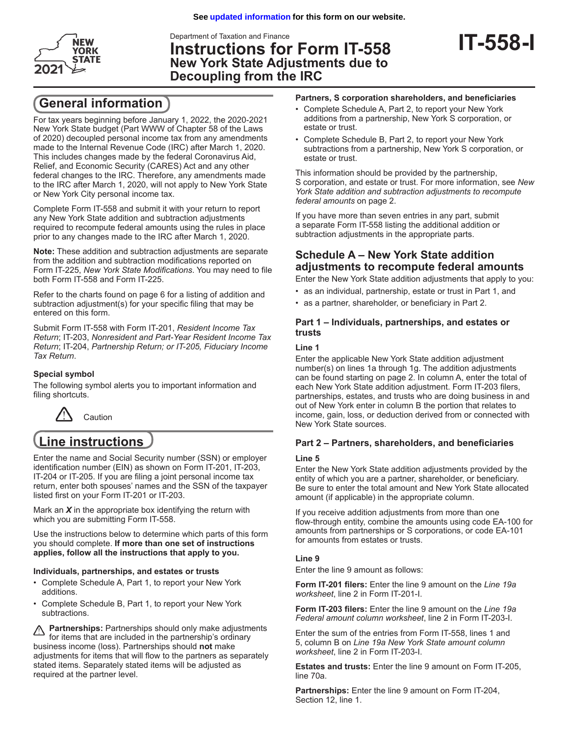**NFW** YORK **STATF** 

## Department of Taxation and Finance **Instructions for Form IT-558 New York State Adjustments due to Decoupling from the IRC**

# **General information**

For tax years beginning before January 1, 2022, the 2020-2021 New York State budget (Part WWW of Chapter 58 of the Laws of 2020) decoupled personal income tax from any amendments made to the Internal Revenue Code (IRC) after March 1, 2020. This includes changes made by the federal Coronavirus Aid, Relief, and Economic Security (CARES) Act and any other federal changes to the IRC. Therefore, any amendments made to the IRC after March 1, 2020, will not apply to New York State or New York City personal income tax.

Complete Form IT-558 and submit it with your return to report any New York State addition and subtraction adjustments required to recompute federal amounts using the rules in place prior to any changes made to the IRC after March 1, 2020.

**Note:** These addition and subtraction adjustments are separate from the addition and subtraction modifications reported on Form IT-225, *New York State Modifications*. You may need to file both Form IT-558 and Form IT-225.

Refer to the charts found on page 6 for a listing of addition and subtraction adjustment(s) for your specific filing that may be entered on this form.

Submit Form IT-558 with Form IT-201, *Resident Income Tax Return*; IT-203, *Nonresident and Part-Year Resident Income Tax Return*; IT-204, *Partnership Return; or IT-205, Fiduciary Income Tax Return*.

#### **Special symbol**

The following symbol alerts you to important information and filing shortcuts.



# **Line instructions**

Enter the name and Social Security number (SSN) or employer identification number (EIN) as shown on Form IT-201, IT-203, IT-204 or IT-205. If you are filing a joint personal income tax return, enter both spouses' names and the SSN of the taxpayer listed first on your Form IT‑201 or IT-203.

Mark an *X* in the appropriate box identifying the return with which you are submitting Form IT-558.

Use the instructions below to determine which parts of this form you should complete. **If more than one set of instructions applies, follow all the instructions that apply to you.**

#### **Individuals, partnerships, and estates or trusts**

- Complete Schedule A, Part 1, to report your New York additions.
- Complete Schedule B, Part 1, to report your New York subtractions.

**Partnerships:** Partnerships should only make adjustments for items that are included in the partnership's ordinary business income (loss). Partnerships should **not** make adjustments for items that will flow to the partners as separately stated items. Separately stated items will be adjusted as required at the partner level.

#### **Partners, S corporation shareholders, and beneficiaries**

- Complete Schedule A, Part 2, to report your New York additions from a partnership, New York S corporation, or estate or trust.
- Complete Schedule B, Part 2, to report your New York subtractions from a partnership, New York S corporation, or estate or trust.

This information should be provided by the partnership, S corporation, and estate or trust. For more information, see *New York State addition and subtraction adjustments to recompute federal amounts* on page 2.

If you have more than seven entries in any part, submit a separate Form IT-558 listing the additional addition or subtraction adjustments in the appropriate parts.

## **Schedule A – New York State addition adjustments to recompute federal amounts**

Enter the New York State addition adjustments that apply to you:

- as an individual, partnership, estate or trust in Part 1, and
- as a partner, shareholder, or beneficiary in Part 2.

#### **Part 1 – Individuals, partnerships, and estates or trusts**

#### **Line 1**

Enter the applicable New York State addition adjustment number(s) on lines 1a through 1g. The addition adjustments can be found starting on page 2. In column A, enter the total of each New York State addition adjustment. Form IT-203 filers, partnerships, estates, and trusts who are doing business in and out of New York enter in column B the portion that relates to income, gain, loss, or deduction derived from or connected with New York State sources.

#### **Part 2 – Partners, shareholders, and beneficiaries**

#### **Line 5**

Enter the New York State addition adjustments provided by the entity of which you are a partner, shareholder, or beneficiary. Be sure to enter the total amount and New York State allocated amount (if applicable) in the appropriate column.

If you receive addition adjustments from more than one flow-through entity, combine the amounts using code EA-100 for amounts from partnerships or S corporations, or code EA-101 for amounts from estates or trusts.

#### **Line 9**

Enter the line 9 amount as follows:

**Form IT-201 filers:** Enter the line 9 amount on the *Line 19a worksheet*, line 2 in Form IT-201-I.

**Form IT-203 filers:** Enter the line 9 amount on the *Line 19a Federal amount column worksheet*, line 2 in Form IT-203-I.

Enter the sum of the entries from Form IT-558, lines 1 and 5, column B on *Line 19a New York State amount column worksheet*, line 2 in Form IT-203-I.

**Estates and trusts:** Enter the line 9 amount on Form IT-205, line 70a.

**Partnerships:** Enter the line 9 amount on Form IT-204, Section 12, line 1.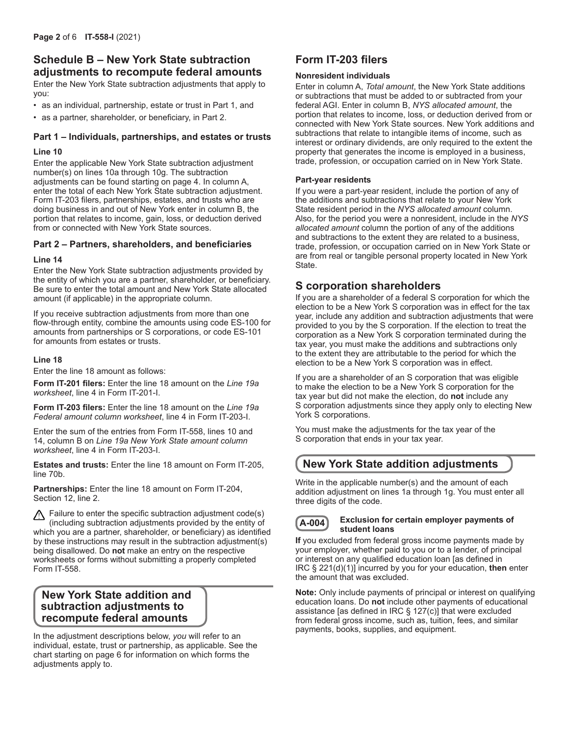## **Schedule B – New York State subtraction adjustments to recompute federal amounts**

Enter the New York State subtraction adjustments that apply to you:

- as an individual, partnership, estate or trust in Part 1, and
- as a partner, shareholder, or beneficiary, in Part 2.

### **Part 1 – Individuals, partnerships, and estates or trusts**

#### **Line 10**

Enter the applicable New York State subtraction adjustment number(s) on lines 10a through 10g. The subtraction adjustments can be found starting on page 4. In column A, enter the total of each New York State subtraction adjustment. Form IT-203 filers, partnerships, estates, and trusts who are doing business in and out of New York enter in column B, the portion that relates to income, gain, loss, or deduction derived from or connected with New York State sources.

#### **Part 2 – Partners, shareholders, and beneficiaries**

#### **Line 14**

Enter the New York State subtraction adjustments provided by the entity of which you are a partner, shareholder, or beneficiary. Be sure to enter the total amount and New York State allocated amount (if applicable) in the appropriate column.

If you receive subtraction adjustments from more than one flow-through entity, combine the amounts using code ES-100 for amounts from partnerships or S corporations, or code ES-101 for amounts from estates or trusts.

#### **Line 18**

Enter the line 18 amount as follows:

**Form IT-201 filers:** Enter the line 18 amount on the *Line 19a worksheet*, line 4 in Form IT-201-I.

**Form IT-203 filers:** Enter the line 18 amount on the *Line 19a Federal amount column worksheet*, line 4 in Form IT-203-I.

Enter the sum of the entries from Form IT-558, lines 10 and 14, column B on *Line 19a New York State amount column worksheet*, line 4 in Form IT-203-I.

**Estates and trusts:** Enter the line 18 amount on Form IT-205, line 70b.

**Partnerships:** Enter the line 18 amount on Form IT-204, Section 12, line 2.

 $\triangle$  Failure to enter the specific subtraction adjustment code(s) (including subtraction adjustments provided by the entity of which you are a partner, shareholder, or beneficiary) as identified by these instructions may result in the subtraction adjustment(s) being disallowed. Do **not** make an entry on the respective worksheets or forms without submitting a properly completed Form IT-558.

## **New York State addition and subtraction adjustments to recompute federal amounts**

In the adjustment descriptions below, *you* will refer to an individual, estate, trust or partnership, as applicable. See the chart starting on page 6 for information on which forms the adjustments apply to.

## **Form IT-203 filers**

#### **Nonresident individuals**

Enter in column A, *Total amount*, the New York State additions or subtractions that must be added to or subtracted from your federal AGI. Enter in column B, *NYS allocated amount*, the portion that relates to income, loss, or deduction derived from or connected with New York State sources. New York additions and subtractions that relate to intangible items of income, such as interest or ordinary dividends, are only required to the extent the property that generates the income is employed in a business, trade, profession, or occupation carried on in New York State.

#### **Part-year residents**

If you were a part-year resident, include the portion of any of the additions and subtractions that relate to your New York State resident period in the *NYS allocated amount* column. Also, for the period you were a nonresident, include in the *NYS allocated amount* column the portion of any of the additions and subtractions to the extent they are related to a business, trade, profession, or occupation carried on in New York State or are from real or tangible personal property located in New York State.

## **S corporation shareholders**

If you are a shareholder of a federal S corporation for which the election to be a New York S corporation was in effect for the tax year, include any addition and subtraction adjustments that were provided to you by the S corporation. If the election to treat the corporation as a New York S corporation terminated during the tax year, you must make the additions and subtractions only to the extent they are attributable to the period for which the election to be a New York S corporation was in effect.

If you are a shareholder of an S corporation that was eligible to make the election to be a New York S corporation for the tax year but did not make the election, do **not** include any S corporation adjustments since they apply only to electing New York S corporations.

You must make the adjustments for the tax year of the S corporation that ends in your tax year.

## **New York State addition adjustments**

Write in the applicable number(s) and the amount of each addition adjustment on lines 1a through 1g. You must enter all three digits of the code.



#### **A-004 Exclusion for certain employer payments of student loans**

**If** you excluded from federal gross income payments made by your employer, whether paid to you or to a lender, of principal or interest on any qualified education loan [as defined in IRC § 221(d)(1)] incurred by you for your education, **then** enter the amount that was excluded.

**Note:** Only include payments of principal or interest on qualifying education loans. Do **not** include other payments of educational assistance [as defined in IRC § 127(c)] that were excluded from federal gross income, such as, tuition, fees, and similar payments, books, supplies, and equipment.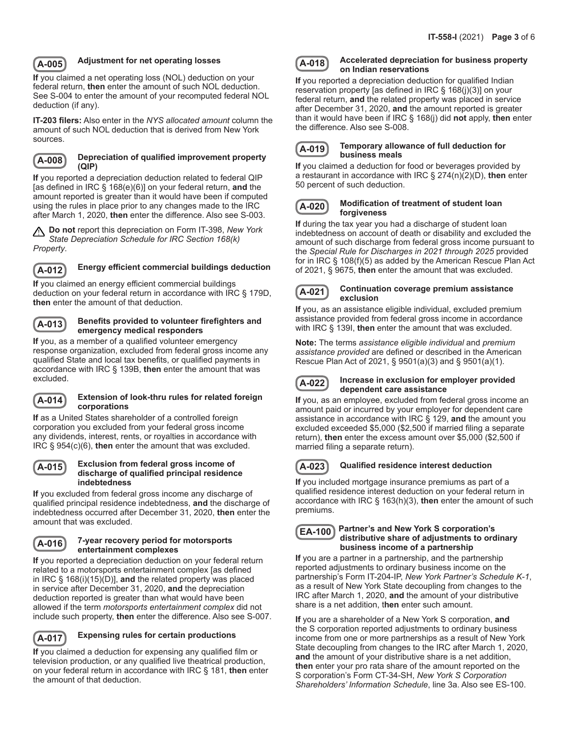

#### **A-005 Adjustment for net operating losses**

**If** you claimed a net operating loss (NOL) deduction on your federal return, **then** enter the amount of such NOL deduction. See S-004 to enter the amount of your recomputed federal NOL deduction (if any).

**IT-203 filers:** Also enter in the *NYS allocated amount* column the amount of such NOL deduction that is derived from New York sources.



#### **A-008 Depreciation of qualified improvement property (QIP)**

**If** you reported a depreciation deduction related to federal QIP [as defined in IRC § 168(e)(6)] on your federal return, **and** the amount reported is greater than it would have been if computed using the rules in place prior to any changes made to the IRC after March 1, 2020, **then** enter the difference. Also see S-003.

**Do not** report this depreciation on Form IT-398, *New York State Depreciation Schedule for IRC Section 168(k) Property*.

## **A-012 Energy efficient commercial buildings deduction**

**If** you claimed an energy efficient commercial buildings deduction on your federal return in accordance with IRC § 179D, **then** enter the amount of that deduction.



#### **A-013 Benefits provided to volunteer firefighters and emergency medical responders**

**If** you, as a member of a qualified volunteer emergency response organization, excluded from federal gross income any qualified State and local tax benefits, or qualified payments in accordance with IRC § 139B, **then** enter the amount that was excluded.



#### **A-014 Extension of look-thru rules for related foreign corporations**

**If** as a United States shareholder of a controlled foreign corporation you excluded from your federal gross income any dividends, interest, rents, or royalties in accordance with IRC § 954(c)(6), **then** enter the amount that was excluded.



#### **A-015 Exclusion from federal gross income of discharge of qualified principal residence indebtedness**

**If** you excluded from federal gross income any discharge of qualified principal residence indebtedness, **and** the discharge of indebtedness occurred after December 31, 2020, **then** enter the amount that was excluded.



#### **A-016 7-year recovery period for motorsports entertainment complexes**

**If** you reported a depreciation deduction on your federal return related to a motorsports entertainment complex [as defined in IRC § 168(i)(15)(D)], **and** the related property was placed in service after December 31, 2020, **and** the depreciation deduction reported is greater than what would have been allowed if the term *motorsports entertainment complex* did not include such property, **then** enter the difference. Also see S-007.



## **A-017 Expensing rules for certain productions**

**If** you claimed a deduction for expensing any qualified film or television production, or any qualified live theatrical production, on your federal return in accordance with IRC § 181, **then** enter the amount of that deduction.



#### **A-018 Accelerated depreciation for business property on Indian reservations**

**If** you reported a depreciation deduction for qualified Indian reservation property [as defined in IRC § 168(j)(3)] on your federal return, **and** the related property was placed in service after December 31, 2020, **and** the amount reported is greater than it would have been if IRC § 168(j) did **not** apply, **then** enter the difference. Also see S-008.

#### **A-019 Temporary allowance of full deduction for business meals**

**If** you claimed a deduction for food or beverages provided by a restaurant in accordance with IRC § 274(n)(2)(D), **then** enter 50 percent of such deduction.



#### **A-020 Modification of treatment of student loan forgiveness**

**If** during the tax year you had a discharge of student loan indebtedness on account of death or disability and excluded the amount of such discharge from federal gross income pursuant to the *Special Rule for Discharges in 2021 through 2025* provided for in IRC § 108(f)(5) as added by the American Rescue Plan Act of 2021, § 9675, **then** enter the amount that was excluded.



#### **A-021 Continuation coverage premium assistance exclusion**

**If** you, as an assistance eligible individual, excluded premium assistance provided from federal gross income in accordance with IRC § 139I, **then** enter the amount that was excluded.

**Note:** The terms *assistance eligible individual* and *premium assistance provided* are defined or described in the American Rescue Plan Act of 2021, § 9501(a)(3) and § 9501(a)(1).



#### **A-022 Increase in exclusion for employer provided dependent care assistance**

**If** you, as an employee, excluded from federal gross income an amount paid or incurred by your employer for dependent care assistance in accordance with IRC § 129, **and** the amount you excluded exceeded \$5,000 (\$2,500 if married filing a separate return), **then** enter the excess amount over \$5,000 (\$2,500 if married filing a separate return).



#### **A-023 Qualified residence interest deduction**

**If** you included mortgage insurance premiums as part of a qualified residence interest deduction on your federal return in accordance with IRC § 163(h)(3), **then** enter the amount of such premiums.



#### **EA-100 Partner's and New York S corporation's distributive share of adjustments to ordinary business income of a partnership**

**If** you are a partner in a partnership, and the partnership reported adjustments to ordinary business income on the partnership's Form IT-204-IP, *New York Partner's Schedule K-1*, as a result of New York State decoupling from changes to the IRC after March 1, 2020, **and** the amount of your distributive share is a net addition, t**hen** enter such amount.

**If** you are a shareholder of a New York S corporation, **and** the S corporation reported adjustments to ordinary business income from one or more partnerships as a result of New York State decoupling from changes to the IRC after March 1, 2020, **and** the amount of your distributive share is a net addition, **then** enter your pro rata share of the amount reported on the S corporation's Form CT-34-SH, *New York S Corporation Shareholders' Information Schedule*, line 3a. Also see ES-100.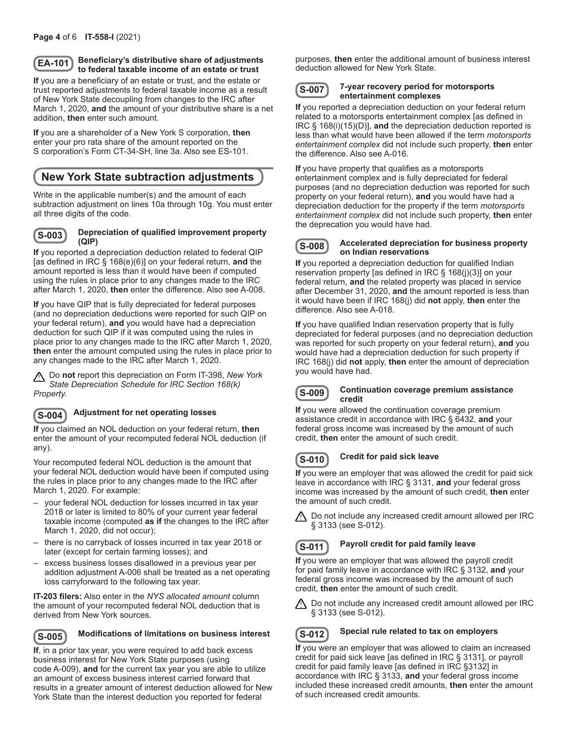#### **EA-101 Beneficiary's distributive share of adjustments to federal taxable income of an estate or trust**

**If** you are a beneficiary of an estate or trust, and the estate or trust reported adjustments to federal taxable income as a result of New York State decoupling from changes to the IRC after March 1, 2020, **and** the amount of your distributive share is a net addition, **then** enter such amount.

**If** you are a shareholder of a New York S corporation, **then** enter your pro rata share of the amount reported on the S corporation's Form CT-34-SH, line 3a. Also see ES-101.

## **New York State subtraction adjustments**

Write in the applicable number(s) and the amount of each subtraction adjustment on lines 10a through 10g. You must enter all three digits of the code.

#### **S-003 Depreciation of qualified improvement property (QIP)**

**If** you reported a depreciation deduction related to federal QIP [as defined in IRC § 168(e)(6)] on your federal return, **and** the amount reported is less than it would have been if computed using the rules in place prior to any changes made to the IRC after March 1, 2020, **then** enter the difference. Also see A-008.

**If** you have QIP that is fully depreciated for federal purposes (and no depreciation deductions were reported for such QIP on your federal return), **and** you would have had a depreciation deduction for such QIP if it was computed using the rules in place prior to any changes made to the IRC after March 1, 2020, **then** enter the amount computed using the rules in place prior to any changes made to the IRC after March 1, 2020.

Do **not** report this depreciation on Form IT-398, *New York State Depreciation Schedule for IRC Section 168(k) Property.*

## **S-004 Adjustment for net operating losses**

**If** you claimed an NOL deduction on your federal return, **then** enter the amount of your recomputed federal NOL deduction (if any).

Your recomputed federal NOL deduction is the amount that your federal NOL deduction would have been if computed using the rules in place prior to any changes made to the IRC after March 1, 2020. For example:

- your federal NOL deduction for losses incurred in tax year 2018 or later is limited to 80% of your current year federal taxable income (computed **as if** the changes to the IRC after March 1, 2020, did not occur);
- there is no carryback of losses incurred in tax year 2018 or later (except for certain farming losses); and
- excess business losses disallowed in a previous year per addition adjustment A-006 shall be treated as a net operating loss carryforward to the following tax year.

**IT-203 filers:** Also enter in the *NYS allocated amount* column the amount of your recomputed federal NOL deduction that is derived from New York sources.

## **S-005 Modifications of limitations on business interest**

**If**, in a prior tax year, you were required to add back excess business interest for New York State purposes (using code A-009), **and** for the current tax year you are able to utilize an amount of excess business interest carried forward that results in a greater amount of interest deduction allowed for New York State than the interest deduction you reported for federal

purposes, **then** enter the additional amount of business interest deduction allowed for New York State.



#### **S-007 7-year recovery period for motorsports entertainment complexes**

**If** you reported a depreciation deduction on your federal return related to a motorsports entertainment complex [as defined in IRC § 168(i)(15)(D)], **and** the depreciation deduction reported is less than what would have been allowed if the term *motorsports entertainment complex* did not include such property, **then** enter the difference. Also see A-016.

**If** you have property that qualifies as a motorsports entertainment complex and is fully depreciated for federal purposes (and no depreciation deduction was reported for such property on your federal return), **and** you would have had a depreciation deduction for the property if the term *motorsports entertainment complex* did not include such property, **then** enter the deprecation you would have had.



#### **S-008 Accelerated depreciation for business property on Indian reservations**

**If** you reported a depreciation deduction for qualified Indian reservation property [as defined in IRC § 168(j)(3)] on your federal return, **and** the related property was placed in service after December 31, 2020, **and** the amount reported is less than it would have been if IRC 168(j) did **not** apply, **then** enter the difference. Also see A-018.

**If** you have qualified Indian reservation property that is fully depreciated for federal purposes (and no depreciation deduction was reported for such property on your federal return), **and** you would have had a depreciation deduction for such property if IRC 168(j) did **not** apply, **then** enter the amount of depreciation you would have had.



#### **S-009 Continuation coverage premium assistance credit**

**If** you were allowed the continuation coverage premium assistance credit in accordance with IRC § 6432, **and** your federal gross income was increased by the amount of such credit, **then** enter the amount of such credit.

### **S-010 Credit for paid sick leave**

**If** you were an employer that was allowed the credit for paid sick leave in accordance with IRC § 3131, **and** your federal gross income was increased by the amount of such credit, **then** enter the amount of such credit.

 $\triangle$  Do not include any increased credit amount allowed per IRC § 3133 (see S-012).



### **S-011 Payroll credit for paid family leave**

**If** you were an employer that was allowed the payroll credit for paid family leave in accordance with IRC § 3132, **and** your federal gross income was increased by the amount of such credit, **then** enter the amount of such credit.

Do not include any increased credit amount allowed per IRC § 3133 (see S-012).

## **S-012 Special rule related to tax on employers**

**If** you were an employer that was allowed to claim an increased credit for paid sick leave [as defined in IRC § 3131], or payroll credit for paid family leave [as defined in IRC §3132] in accordance with IRC § 3133, **and** your federal gross income included these increased credit amounts, **then** enter the amount of such increased credit amounts.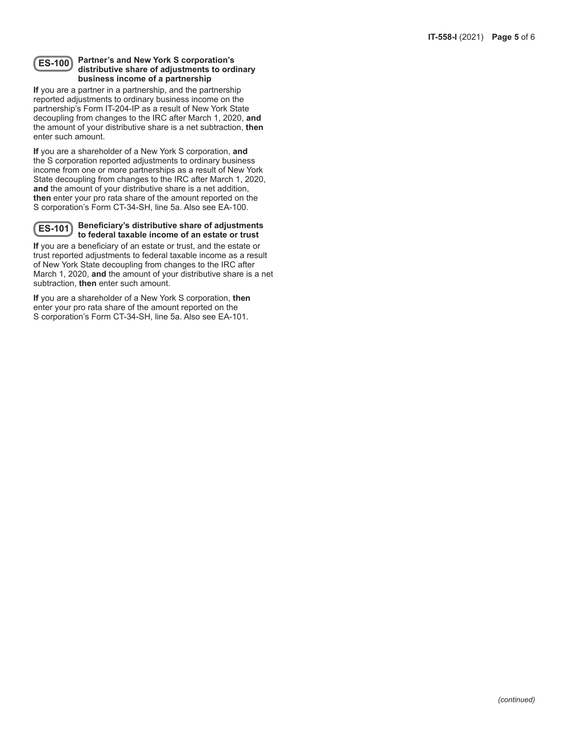#### **ES-100 Partner's and New York S corporation's distributive share of adjustments to ordinary business income of a partnership**

**If** you are a partner in a partnership, and the partnership reported adjustments to ordinary business income on the partnership's Form IT-204-IP as a result of New York State decoupling from changes to the IRC after March 1, 2020, **and** the amount of your distributive share is a net subtraction, **then** enter such amount.

**If** you are a shareholder of a New York S corporation, **and** the S corporation reported adjustments to ordinary business income from one or more partnerships as a result of New York State decoupling from changes to the IRC after March 1, 2020, **and** the amount of your distributive share is a net addition, **then** enter your pro rata share of the amount reported on the S corporation's Form CT-34-SH, line 5a. Also see EA-100.

## **ES-101 Beneficiary's distributive share of adjustments to federal taxable income of an estate or trust**

**If** you are a beneficiary of an estate or trust, and the estate or trust reported adjustments to federal taxable income as a result of New York State decoupling from changes to the IRC after March 1, 2020, **and** the amount of your distributive share is a net subtraction, **then** enter such amount.

**If** you are a shareholder of a New York S corporation, **then** enter your pro rata share of the amount reported on the S corporation's Form CT-34-SH, line 5a. Also see EA-101.